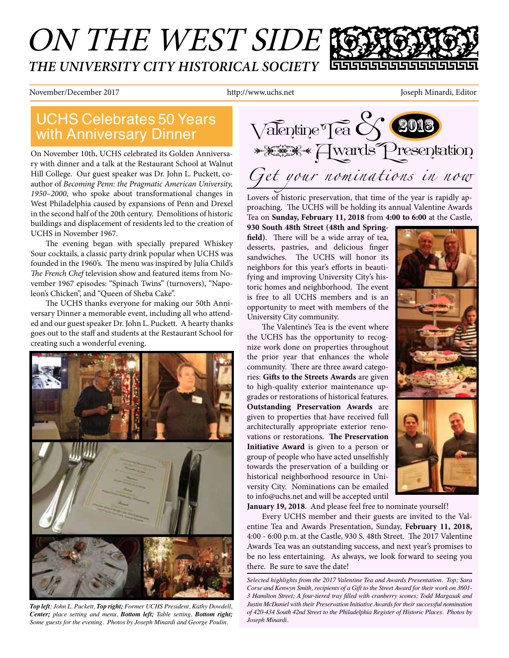## ON THE WEST SIDE *THE UNIVERSITY CITY HISTORICAL SOCIETY*

November/December 2017 http://www.uchs.net Joseph Minardi, Editor

# with Anniversary Dinner

On November 10th, UCHS celebrated its Golden Anniversary with dinner and a talk at the Restaurant School at Walnut Hill College. Our guest speaker was Dr. John L. Puckett, coauthor of *Becoming Penn: the Pragmatic American University, 1950–2000*, who spoke about transformational changes in West Philadelphia caused by expansions of Penn and Drexel in the second half of the 20th century. Demolitions of historic buildings and displacement of residents led to the creation of UCHS in November 1967.

The evening began with specially prepared Whiskey Sour cocktails, a classic party drink popular when UCHS was founded in the 1960's. The menu was inspired by Julia Child's The French Chef television show and featured items from November 1967 episodes: "Spinach Twins" (turnovers), "Napoleon's Chicken", and "Queen of Sheba Cake".

The UCHS thanks everyone for making our 50th Anniversary Dinner a memorable event, including all who attended and our guest speaker Dr. John L. Puckett. A hearty thanks goes out to the staff and students at the Restaurant School for creating such a wonderful evening.



*Top left; John L. Puckett, Top right; Former UCHS President, Kathy Dowdell, Center; place setting and menu, Bottom left; Table setting, Bottom right; Some guests for the evening. Photos by Joseph Minardi and George Poulin.*



Lovers of historic preservation, that time of the year is rapidly approaching. The UCHS will be holding its annual Valentine Awards Tea on **Sunday, February 11, 2018** from **4:00 to 6:00** at the Castle,

**930 South 48th Street (48th and Spring**field). There will be a wide array of tea, desserts, pastries, and delicious fnger sandwiches. The UCHS will honor its neighbors for this year's eforts in beautifying and improving University City's historic homes and neighborhood. The event is free to all UCHS members and is an opportunity to meet with members of the University City community.

The Valentine's Tea is the event where the UCHS has the opportunity to recognize work done on properties throughout the prior year that enhances the whole community. There are three award categories: **Gifs to the Streets Awards** are given to high-quality exterior maintenance upgrades or restorations of historical features. **Outstanding Preservation Awards** are given to properties that have received full architecturally appropriate exterior renovations or restorations. The Preservation **Initiative Award** is given to a person or group of people who have acted unselfshly towards the preservation of a building or historical neighborhood resource in University City. Nominations can be emailed to info@uchs.net and will be accepted until



**January 19, 2018**. And please feel free to nominate yourself!

Every UCHS member and their guests are invited to the Valentine Tea and Awards Presentation, Sunday, **February 11, 2018,**  4:00 - 6:00 p.m. at the Castle, 930 S. 48th Street. The 2017 Valentine Awards Tea was an outstanding success, and next year's promises to be no less entertaining. As always, we look forward to seeing you there. Be sure to save the date!

*Selected highlights from the 2017 Valentine Tea and Awards Presentation. Top; Sara Corse and Kenwyn Smith, recipients of a Gift to the Street Award for their work on 3601- 3 Hamilton Street; A four-tiered tray flled with cranberry scones; Todd Margasak and Justin McDaniel with their Preservation Initiative Awards for their successful nomination of 420-434 South 42nd Street to the Philadelphia Register of Historic Places. Photos by Joseph Minardi.*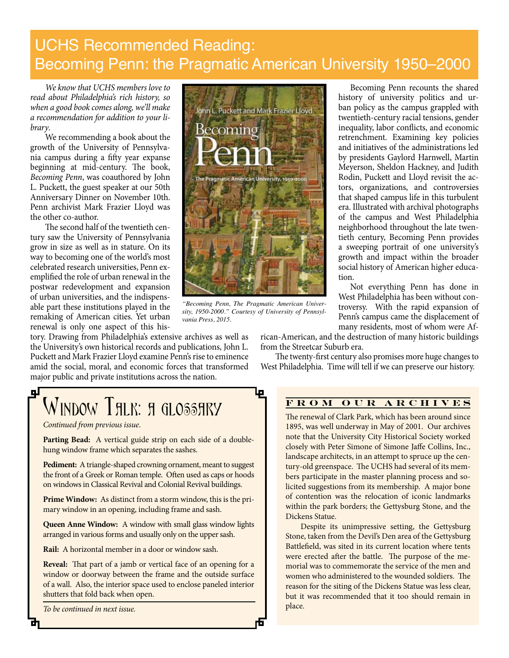### UCHS Recommended Reading: Becoming Penn: the Pragmatic American University 1950–2000

*We know that UCHS members love to read about Philadelphia's rich history, so when a good book comes along, we'll make a recommendation for addition to your library*.

We recommending a book about the growth of the University of Pennsylvania campus during a fifty year expanse beginning at mid-century. The book, *Becoming Penn*, was coauthored by John L. Puckett, the guest speaker at our 50th Anniversary Dinner on November 10th. Penn archivist Mark Frazier Lloyd was the other co-author.

The second half of the twentieth century saw the University of Pennsylvania grow in size as well as in stature. On its way to becoming one of the world's most celebrated research universities, Penn exemplifed the role of urban renewal in the postwar redevelopment and expansion of urban universities, and the indispensable part these institutions played in the remaking of American cities. Yet urban renewal is only one aspect of this his-

tory. Drawing from Philadelphia's extensive archives as well as the University's own historical records and publications, John L. Puckett and Mark Frazier Lloyd examine Penn's rise to eminence amid the social, moral, and economic forces that transformed major public and private institutions across the nation.



*"Becoming Penn, The Pragmatic American University, 1950-2000." Courtesy of University of Pennsylvania Press, 2015.*

Becoming Penn recounts the shared history of university politics and urban policy as the campus grappled with twentieth-century racial tensions, gender inequality, labor conficts, and economic retrenchment. Examining key policies and initiatives of the administrations led by presidents Gaylord Harnwell, Martin Meyerson, Sheldon Hackney, and Judith Rodin, Puckett and Lloyd revisit the actors, organizations, and controversies that shaped campus life in this turbulent era. Illustrated with archival photographs of the campus and West Philadelphia neighborhood throughout the late twentieth century, Becoming Penn provides a sweeping portrait of one university's growth and impact within the broader social history of American higher education.

Not everything Penn has done in West Philadelphia has been without controversy. With the rapid expansion of Penn's campus came the displacement of many residents, most of whom were Af-

rican-American, and the destruction of many historic buildings from the Streetcar Suburb era.

The twenty-first century also promises more huge changes to West Philadelphia. Time will tell if we can preserve our history.

### <u>gr</u> Window Thlk: h glosshry

*Continued from previous issue*.

Parting Bead: A vertical guide strip on each side of a doublehung window frame which separates the sashes.

**Pediment:** A triangle-shaped crowning ornament, meant to suggest the front of a Greek or Roman temple. Often used as caps or hoods on windows in Classical Revival and Colonial Revival buildings.

**Prime Window:** As distinct from a storm window, this is the primary window in an opening, including frame and sash.

**Queen Anne Window:** A window with small glass window lights arranged in various forms and usually only on the upper sash.

**Rail:** A horizontal member in a door or window sash.

**Reveal:** That part of a jamb or vertical face of an opening for a window or doorway between the frame and the outside surface of a wall. Also, the interior space used to enclose paneled interior shutters that fold back when open.

*To be continued in next issue.*

### **FROM OUR ARCHIVES**

The renewal of Clark Park, which has been around since 1895, was well underway in May of 2001. Our archives note that the University City Historical Society worked closely with Peter Simone of Simone Jafe Collins, Inc., landscape architects, in an attempt to spruce up the century-old greenspace. The UCHS had several of its members participate in the master planning process and solicited suggestions from its membership. A major bone of contention was the relocation of iconic landmarks within the park borders; the Gettysburg Stone, and the Dickens Statue.

Despite its unimpressive setting, the Gettysburg Stone, taken from the Devil's Den area of the Gettysburg Battlefeld, was sited in its current location where tents were erected after the battle. The purpose of the memorial was to commemorate the service of the men and women who administered to the wounded soldiers. The reason for the siting of the Dickens Statue was less clear, but it was recommended that it too should remain in place.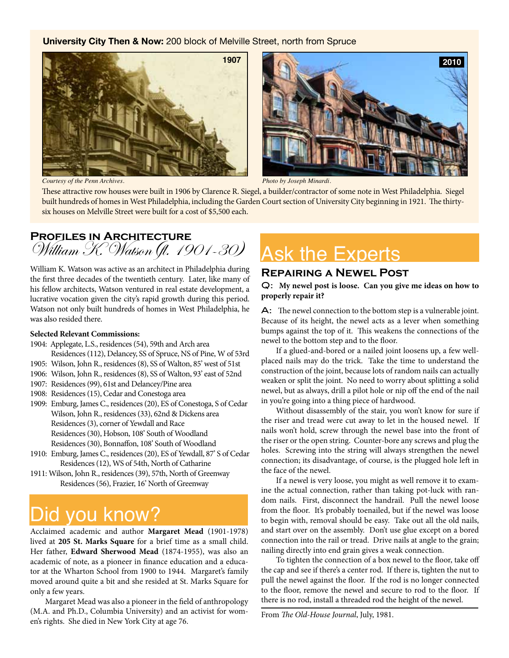#### **University City Then & Now:** 200 block of Melville Street, north from Spruce





*Courtesy of the Penn Archives. Photo by Joseph Minardi.*

These attractive row houses were built in 1906 by Clarence R. Siegel, a builder/contractor of some note in West Philadelphia. Siegel built hundreds of homes in West Philadelphia, including the Garden Court section of University City beginning in 1921. The thirtysix houses on Melville Street were built for a cost of \$5,500 each.

# **PROFILES IN ARCHITECTURE**<br>William K. Watson (fl. 1901-30)

William K. Watson was active as an architect in Philadelphia during the frst three decades of the twentieth century. Later, like many of his fellow architects, Watson ventured in real estate development, a lucrative vocation given the city's rapid growth during this period. Watson not only built hundreds of homes in West Philadelphia, he was also resided there.

#### **Selected Relevant Commissions:**

- 1904: Applegate, L.S., residences (54), 59th and Arch area Residences (112), Delancey, SS of Spruce, NS of Pine, W of 53rd
- 1905: Wilson, John R., residences (8), SS of Walton, 85' west of 51st
- 1906: Wilson, John R., residences (8), SS of Walton, 93' east of 52nd
- 1907: Residences (99), 61st and Delancey/Pine area
- 1908: Residences (15), Cedar and Conestoga area
- 1909: Emburg, James C., residences (20), ES of Conestoga, S of Cedar Wilson, John R., residences (33), 62nd & Dickens area Residences (3), corner of Yewdall and Race Residences (30), Hobson, 108' South of Woodland Residences (30), Bonnaffon, 108' South of Woodland
- 1910: Emburg, James C., residences (20), ES of Yewdall, 87' S of Cedar Residences (12), WS of 54th, North of Catharine
- 1911: Wilson, John R., residences (39), 57th, North of Greenway Residences (56), Frazier, 16' North of Greenway

## Did you know?

Acclaimed academic and author **Margaret Mead** (1901-1978) lived at **205 St. Marks Square** for a brief time as a small child. Her father, **Edward Sherwood Mead** (1874-1955), was also an academic of note, as a pioneer in fnance education and a educator at the Wharton School from 1900 to 1944. Margaret's family moved around quite a bit and she resided at St. Marks Square for only a few years.

Margaret Mead was also a pioneer in the feld of anthropology (M.A. and Ph.D., Columbia University) and an activist for women's rights. She died in New York City at age 76.

## **Ask the Experts**

### **Repairing a Newel Post**

Q: **My newel post is loose. Can you give me ideas on how to properly repair it?**

 $\mathsf{A}$ : The newel connection to the bottom step is a vulnerable joint. Because of its height, the newel acts as a lever when something bumps against the top of it. This weakens the connections of the newel to the bottom step and to the floor.

If a glued-and-bored or a nailed joint loosens up, a few wellplaced nails may do the trick. Take the time to understand the construction of the joint, because lots of random nails can actually weaken or split the joint. No need to worry about splitting a solid newel, but as always, drill a pilot hole or nip off the end of the nail in you're going into a thing piece of hardwood.

Without disassembly of the stair, you won't know for sure if the riser and tread were cut away to let in the housed newel. If nails won't hold, screw through the newel base into the front of the riser or the open string. Counter-bore any screws and plug the holes. Screwing into the string will always strengthen the newel connection; its disadvantage, of course, is the plugged hole left in the face of the newel.

If a newel is very loose, you might as well remove it to examine the actual connection, rather than taking pot-luck with random nails. First, disconnect the handrail. Pull the newel loose from the floor. It's probably toenailed, but if the newel was loose to begin with, removal should be easy. Take out all the old nails, and start over on the assembly. Don't use glue except on a bored connection into the rail or tread. Drive nails at angle to the grain; nailing directly into end grain gives a weak connection.

To tighten the connection of a box newel to the floor, take off the cap and see if there's a center rod. If there is, tighten the nut to pull the newel against the floor. If the rod is no longer connected to the floor, remove the newel and secure to rod to the floor. If there is no rod, install a threaded rod the height of the newel.

From The Old-House Journal, July, 1981.